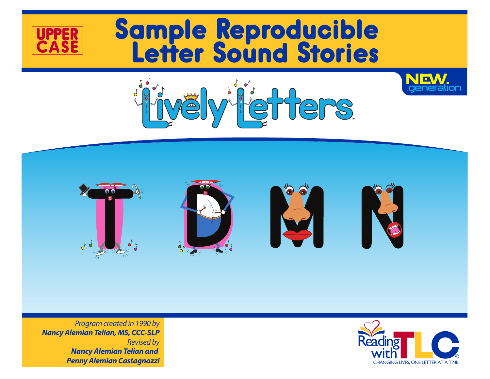

# Sample Reproducible Letter Sound Stories









*Nancy Alemian Telian, MS, CCC-SLP Revised by Nancy Alemian Telian and Penny Alemian Castagnozzi*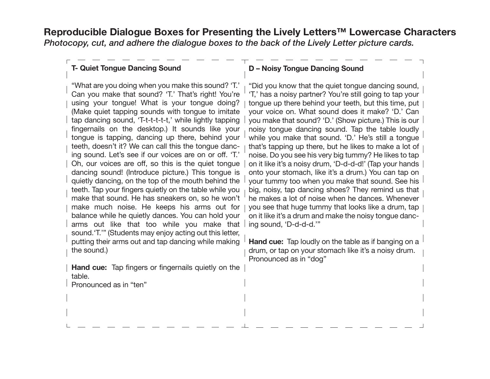**Reproducible Dialogue Boxes for Presenting the Lively Letters™ Lowercase Characters** *Photocopy, cut, and adhere the dialogue boxes to the back of the Lively Letter picture cards.*

# **T- Quiet Tongue Dancing Sound**

"What are you doing when you make this sound? 'T.' Can you make that sound? 'T.' That's right! You're using your tongue! What is your tongue doing? (Make quiet tapping sounds with tongue to imitate tap dancing sound, 'T-t-t-t-t-t,' while lightly tapping fingernails on the desktop.) It sounds like your tongue is tapping, dancing up there, behind your teeth, doesn't it? We can call this the tongue dancing sound. Let's see if our voices are on or off. 'T.' Oh, our voices are off, so this is the quiet tongue dancing sound! (Introduce picture.) This tongue is quietly dancing, on the top of the mouth behind the teeth. Tap your fingers quietly on the table while you make that sound. He has sneakers on, so he won't make much noise. He keeps his arms out for balance while he quietly dances. You can hold your arms out like that too while you make that sound.'T.'" (Students may enjoy acting out this letter, putting their arms out and tap dancing while making the sound.)

**Hand cue:** Tap fingers or fingernails quietly on the table.

#### Pronounced as in "ten"

### **D – Noisy Tongue Dancing Sound**

"Did you know that the quiet tongue dancing sound, 'T,' has a noisy partner? You're still going to tap your tongue up there behind your teeth, but this time, put your voice on. What sound does it make? 'D.' Can you make that sound? 'D.' (Show picture.) This is our noisy tongue dancing sound. Tap the table loudly while you make that sound. 'D.' He's still a tongue that's tapping up there, but he likes to make a lot of noise. Do you see his very big tummy? He likes to tap on it like it's a noisy drum, 'D-d-d-d!' (Tap your hands onto your stomach, like it's a drum.) You can tap on your tummy too when you make that sound. See his big, noisy, tap dancing shoes? They remind us that he makes a lot of noise when he dances. Whenever you see that huge tummy that looks like a drum, tap on it like it's a drum and make the noisy tongue dancing sound, 'D-d-d-d.'"

**Hand cue:** Tap loudly on the table as if banging on a drum, or tap on your stomach like it's a noisy drum. Pronounced as in "dog"